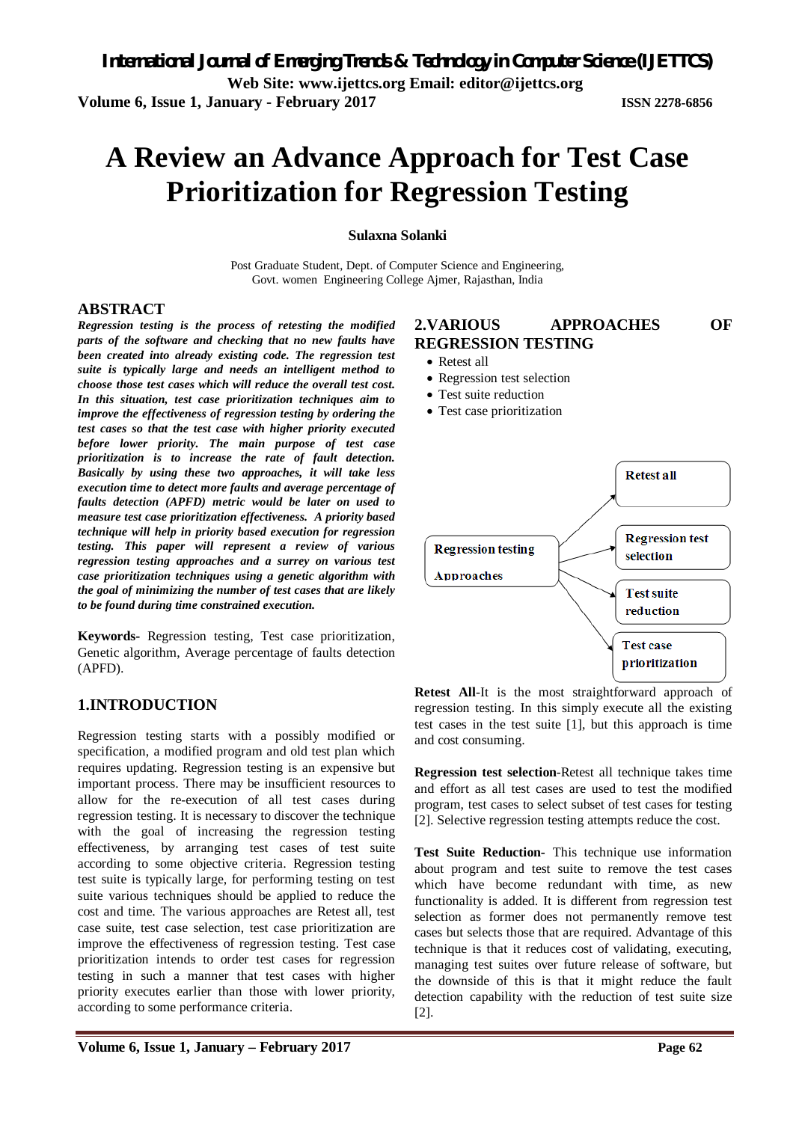# **A Review an Advance Approach for Test Case Prioritization for Regression Testing**

**Sulaxna Solanki**

Post Graduate Student, Dept. of Computer Science and Engineering, Govt. women Engineering College Ajmer, Rajasthan, India

#### **ABSTRACT**

*Regression testing is the process of retesting the modified parts of the software and checking that no new faults have been created into already existing code. The regression test suite is typically large and needs an intelligent method to choose those test cases which will reduce the overall test cost. In this situation, test case prioritization techniques aim to improve the effectiveness of regression testing by ordering the test cases so that the test case with higher priority executed before lower priority. The main purpose of test case prioritization is to increase the rate of fault detection. Basically by using these two approaches, it will take less execution time to detect more faults and average percentage of faults detection (APFD) metric would be later on used to measure test case prioritization effectiveness. A priority based technique will help in priority based execution for regression testing. This paper will represent a review of various regression testing approaches and a surrey on various test case prioritization techniques using a genetic algorithm with the goal of minimizing the number of test cases that are likely to be found during time constrained execution.*

**Keywords-** Regression testing, Test case prioritization, Genetic algorithm, Average percentage of faults detection (APFD).

#### **1.INTRODUCTION**

Regression testing starts with a possibly modified or specification, a modified program and old test plan which requires updating. Regression testing is an expensive but important process. There may be insufficient resources to allow for the re-execution of all test cases during regression testing. It is necessary to discover the technique with the goal of increasing the regression testing effectiveness, by arranging test cases of test suite according to some objective criteria. Regression testing test suite is typically large, for performing testing on test suite various techniques should be applied to reduce the cost and time. The various approaches are Retest all, test case suite, test case selection, test case prioritization are improve the effectiveness of regression testing. Test case prioritization intends to order test cases for regression testing in such a manner that test cases with higher priority executes earlier than those with lower priority, according to some performance criteria.

# **2.VARIOUS APPROACHES OF REGRESSION TESTING**

- Retest all
- Regression test selection
- Test suite reduction
- Test case prioritization



**Retest All**-It is the most straightforward approach of regression testing. In this simply execute all the existing test cases in the test suite [1], but this approach is time and cost consuming.

**Regression test selection**-Retest all technique takes time and effort as all test cases are used to test the modified program, test cases to select subset of test cases for testing [2]. Selective regression testing attempts reduce the cost.

**Test Suite Reduction-** This technique use information about program and test suite to remove the test cases which have become redundant with time, as new functionality is added. It is different from regression test selection as former does not permanently remove test cases but selects those that are required. Advantage of this technique is that it reduces cost of validating, executing, managing test suites over future release of software, but the downside of this is that it might reduce the fault detection capability with the reduction of test suite size [2].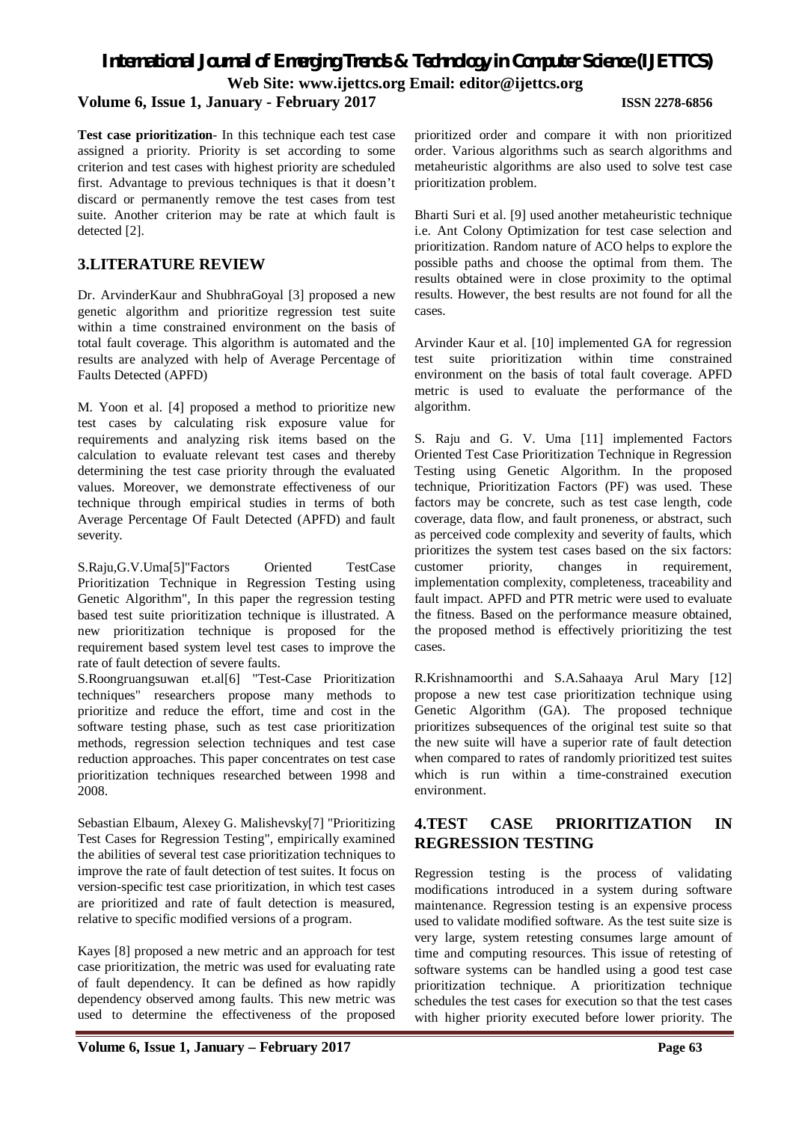# *International Journal of Emerging Trends & Technology in Computer Science (IJETTCS)* **Web Site: www.ijettcs.org Email: editor@ijettcs.org Volume 6, Issue 1, January - February 2017 ISSN 2278-6856**

**Test case prioritization**- In this technique each test case assigned a priority. Priority is set according to some criterion and test cases with highest priority are scheduled first. Advantage to previous techniques is that it doesn't discard or permanently remove the test cases from test suite. Another criterion may be rate at which fault is detected [2].

### **3.LITERATURE REVIEW**

Dr. ArvinderKaur and ShubhraGoyal [3] proposed a new genetic algorithm and prioritize regression test suite within a time constrained environment on the basis of total fault coverage. This algorithm is automated and the results are analyzed with help of Average Percentage of Faults Detected (APFD)

M. Yoon et al. [4] proposed a method to prioritize new test cases by calculating risk exposure value for requirements and analyzing risk items based on the calculation to evaluate relevant test cases and thereby determining the test case priority through the evaluated values. Moreover, we demonstrate effectiveness of our technique through empirical studies in terms of both Average Percentage Of Fault Detected (APFD) and fault severity.

S.Raju,G.V.Uma[5]"Factors Oriented TestCase Prioritization Technique in Regression Testing using Genetic Algorithm", In this paper the regression testing based test suite prioritization technique is illustrated. A new prioritization technique is proposed for the requirement based system level test cases to improve the rate of fault detection of severe faults.

S.Roongruangsuwan et.al[6] "Test-Case Prioritization techniques" researchers propose many methods to prioritize and reduce the effort, time and cost in the software testing phase, such as test case prioritization methods, regression selection techniques and test case reduction approaches. This paper concentrates on test case prioritization techniques researched between 1998 and 2008.

Sebastian Elbaum, Alexey G. Malishevsky[7] "Prioritizing Test Cases for Regression Testing", empirically examined the abilities of several test case prioritization techniques to improve the rate of fault detection of test suites. It focus on version-specific test case prioritization, in which test cases are prioritized and rate of fault detection is measured, relative to specific modified versions of a program.

Kayes [8] proposed a new metric and an approach for test case prioritization, the metric was used for evaluating rate of fault dependency. It can be defined as how rapidly dependency observed among faults. This new metric was used to determine the effectiveness of the proposed

**Volume 6, Issue 1, January – February 2017 Page 63**

prioritized order and compare it with non prioritized order. Various algorithms such as search algorithms and metaheuristic algorithms are also used to solve test case prioritization problem.

Bharti Suri et al. [9] used another metaheuristic technique i.e. Ant Colony Optimization for test case selection and prioritization. Random nature of ACO helps to explore the possible paths and choose the optimal from them. The results obtained were in close proximity to the optimal results. However, the best results are not found for all the cases.

Arvinder Kaur et al. [10] implemented GA for regression test suite prioritization within time constrained environment on the basis of total fault coverage. APFD metric is used to evaluate the performance of the algorithm.

S. Raju and G. V. Uma [11] implemented Factors Oriented Test Case Prioritization Technique in Regression Testing using Genetic Algorithm. In the proposed technique, Prioritization Factors (PF) was used. These factors may be concrete, such as test case length, code coverage, data flow, and fault proneness, or abstract, such as perceived code complexity and severity of faults, which prioritizes the system test cases based on the six factors: customer priority, changes in requirement, implementation complexity, completeness, traceability and fault impact. APFD and PTR metric were used to evaluate the fitness. Based on the performance measure obtained, the proposed method is effectively prioritizing the test cases.

R.Krishnamoorthi and S.A.Sahaaya Arul Mary [12] propose a new test case prioritization technique using Genetic Algorithm (GA). The proposed technique prioritizes subsequences of the original test suite so that the new suite will have a superior rate of fault detection when compared to rates of randomly prioritized test suites which is run within a time-constrained execution environment.

# **4.TEST CASE PRIORITIZATION IN REGRESSION TESTING**

Regression testing is the process of validating modifications introduced in a system during software maintenance. Regression testing is an expensive process used to validate modified software. As the test suite size is very large, system retesting consumes large amount of time and computing resources. This issue of retesting of software systems can be handled using a good test case prioritization technique. A prioritization technique schedules the test cases for execution so that the test cases with higher priority executed before lower priority. The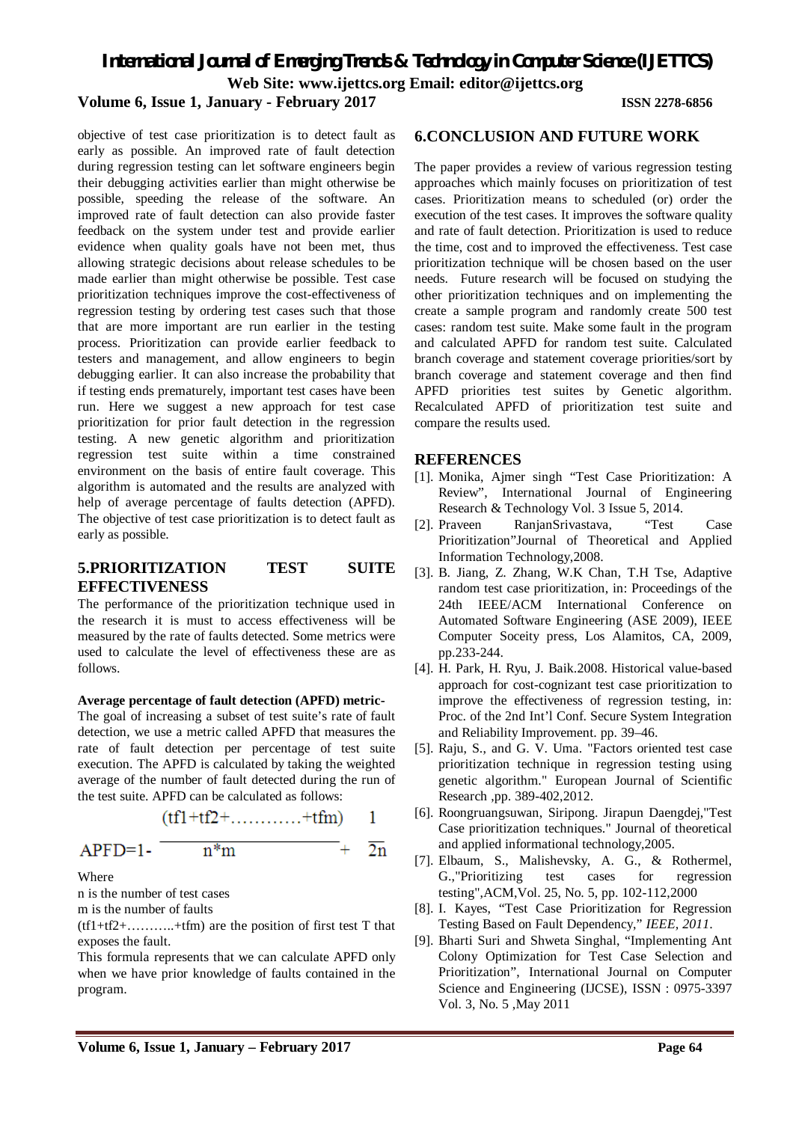*International Journal of Emerging Trends & Technology in Computer Science (IJETTCS)*

**Web Site: www.ijettcs.org Email: editor@ijettcs.org** 

### **Volume 6, Issue 1, January - February 2017 ISSN 2278-6856**

objective of test case prioritization is to detect fault as early as possible. An improved rate of fault detection during regression testing can let software engineers begin their debugging activities earlier than might otherwise be possible, speeding the release of the software. An improved rate of fault detection can also provide faster feedback on the system under test and provide earlier evidence when quality goals have not been met, thus allowing strategic decisions about release schedules to be made earlier than might otherwise be possible. Test case prioritization techniques improve the cost-effectiveness of regression testing by ordering test cases such that those that are more important are run earlier in the testing process. Prioritization can provide earlier feedback to testers and management, and allow engineers to begin debugging earlier. It can also increase the probability that if testing ends prematurely, important test cases have been run. Here we suggest a new approach for test case prioritization for prior fault detection in the regression testing. A new genetic algorithm and prioritization regression test suite within a time constrained environment on the basis of entire fault coverage. This algorithm is automated and the results are analyzed with help of average percentage of faults detection (APFD). The objective of test case prioritization is to detect fault as early as possible.

#### **5.PRIORITIZATION TEST SUITE EFFECTIVENESS**

The performance of the prioritization technique used in the research it is must to access effectiveness will be measured by the rate of faults detected. Some metrics were used to calculate the level of effectiveness these are as follows.

#### **Average percentage of fault detection (APFD) metric-**

The goal of increasing a subset of test suite's rate of fault detection, we use a metric called APFD that measures the rate of fault detection per percentage of test suite execution. The APFD is calculated by taking the weighted average of the number of fault detected during the run of the test suite. APFD can be calculated as follows:

$$
(tf1 + tf2 + \ldots, \ldots, +tfm) \quad 1
$$

APFD=1- 
$$
n^*m
$$
 +  $\overline{2n}$ 

#### Where

n is the number of test cases

m is the number of faults

 $(tf1+t12+\ldots +tfm)$  are the position of first test T that exposes the fault.

This formula represents that we can calculate APFD only when we have prior knowledge of faults contained in the program.

#### **6.CONCLUSION AND FUTURE WORK**

The paper provides a review of various regression testing approaches which mainly focuses on prioritization of test cases. Prioritization means to scheduled (or) order the execution of the test cases. It improves the software quality and rate of fault detection. Prioritization is used to reduce the time, cost and to improved the effectiveness. Test case prioritization technique will be chosen based on the user needs. Future research will be focused on studying the other prioritization techniques and on implementing the create a sample program and randomly create 500 test cases: random test suite. Make some fault in the program and calculated APFD for random test suite. Calculated branch coverage and statement coverage priorities/sort by branch coverage and statement coverage and then find APFD priorities test suites by Genetic algorithm. Recalculated APFD of prioritization test suite and compare the results used.

#### **REFERENCES**

- [1]. Monika, Ajmer singh "Test Case Prioritization: A Review", International Journal of Engineering Research & Technology Vol. 3 Issue 5, 2014.
- [2]. Praveen RanjanSrivastava, "Test Case Prioritization"Journal of Theoretical and Applied Information Technology,2008.
- [3]. B. Jiang, Z. Zhang, W.K Chan, T.H Tse, Adaptive random test case prioritization, in: Proceedings of the 24th IEEE/ACM International Conference on Automated Software Engineering (ASE 2009), IEEE Computer Soceity press, Los Alamitos, CA, 2009, pp.233-244.
- [4]. H. Park, H. Ryu, J. Baik.2008. Historical value-based approach for cost-cognizant test case prioritization to improve the effectiveness of regression testing, in: Proc. of the 2nd Int'l Conf. Secure System Integration and Reliability Improvement. pp. 39–46.
- [5]. Raju, S., and G. V. Uma. "Factors oriented test case prioritization technique in regression testing using genetic algorithm." European Journal of Scientific Research ,pp. 389-402,2012.
- [6]. Roongruangsuwan, Siripong. Jirapun Daengdej,"Test Case prioritization techniques." Journal of theoretical and applied informational technology,2005.
- [7]. Elbaum, S., Malishevsky, A. G., & Rothermel, G.,"Prioritizing test cases for regression testing",ACM,Vol. 25, No. 5, pp. 102-112,2000
- [8]. I. Kayes, "Test Case Prioritization for Regression Testing Based on Fault Dependency," *IEEE, 2011*.
- [9]. Bharti Suri and Shweta Singhal, "Implementing Ant Colony Optimization for Test Case Selection and Prioritization", International Journal on Computer Science and Engineering (IJCSE), ISSN : 0975-3397 Vol. 3, No. 5 ,May 2011